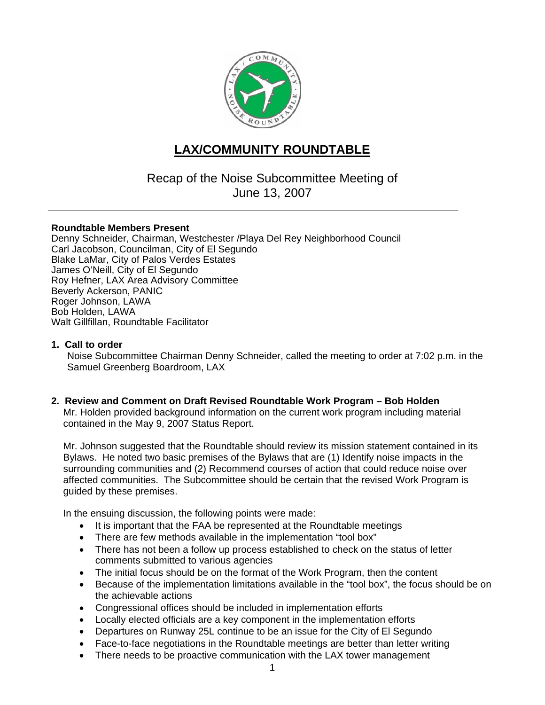

# **LAX/COMMUNITY ROUNDTABLE**

Recap of the Noise Subcommittee Meeting of June 13, 2007

## **Roundtable Members Present**

Denny Schneider, Chairman, Westchester /Playa Del Rey Neighborhood Council Carl Jacobson, Councilman, City of El Segundo Blake LaMar, City of Palos Verdes Estates James O'Neill, City of El Segundo Roy Hefner, LAX Area Advisory Committee Beverly Ackerson, PANIC Roger Johnson, LAWA Bob Holden, LAWA Walt Gillfillan, Roundtable Facilitator

## **1. Call to order**

Noise Subcommittee Chairman Denny Schneider, called the meeting to order at 7:02 p.m. in the Samuel Greenberg Boardroom, LAX

#### **2. Review and Comment on Draft Revised Roundtable Work Program – Bob Holden**

Mr. Holden provided background information on the current work program including material contained in the May 9, 2007 Status Report.

Mr. Johnson suggested that the Roundtable should review its mission statement contained in its Bylaws. He noted two basic premises of the Bylaws that are (1) Identify noise impacts in the surrounding communities and (2) Recommend courses of action that could reduce noise over affected communities. The Subcommittee should be certain that the revised Work Program is guided by these premises.

In the ensuing discussion, the following points were made:

- It is important that the FAA be represented at the Roundtable meetings
- There are few methods available in the implementation "tool box"
- There has not been a follow up process established to check on the status of letter comments submitted to various agencies
- The initial focus should be on the format of the Work Program, then the content
- Because of the implementation limitations available in the "tool box", the focus should be on the achievable actions
- Congressional offices should be included in implementation efforts
- Locally elected officials are a key component in the implementation efforts
- Departures on Runway 25L continue to be an issue for the City of El Segundo
- Face-to-face negotiations in the Roundtable meetings are better than letter writing
- There needs to be proactive communication with the LAX tower management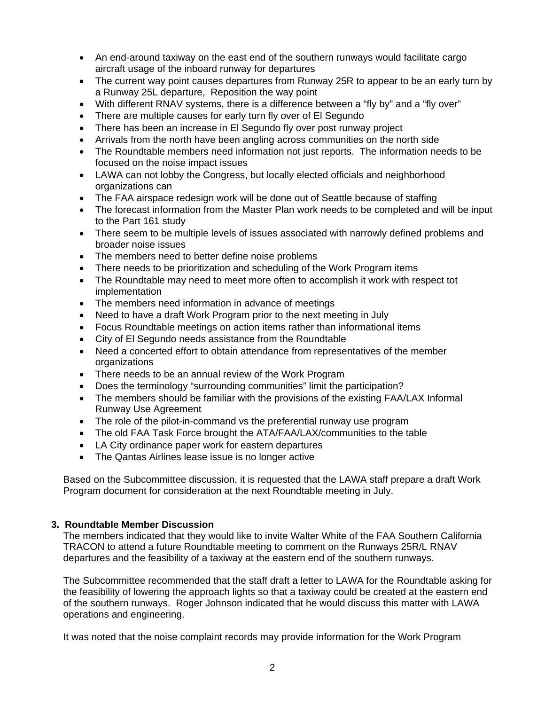- An end-around taxiway on the east end of the southern runways would facilitate cargo aircraft usage of the inboard runway for departures
- The current way point causes departures from Runway 25R to appear to be an early turn by a Runway 25L departure, Reposition the way point
- With different RNAV systems, there is a difference between a "fly by" and a "fly over"
- There are multiple causes for early turn fly over of El Segundo
- There has been an increase in El Segundo fly over post runway project
- Arrivals from the north have been angling across communities on the north side
- The Roundtable members need information not just reports. The information needs to be focused on the noise impact issues
- LAWA can not lobby the Congress, but locally elected officials and neighborhood organizations can
- The FAA airspace redesign work will be done out of Seattle because of staffing
- The forecast information from the Master Plan work needs to be completed and will be input to the Part 161 study
- There seem to be multiple levels of issues associated with narrowly defined problems and broader noise issues
- The members need to better define noise problems
- There needs to be prioritization and scheduling of the Work Program items
- The Roundtable may need to meet more often to accomplish it work with respect tot implementation
- The members need information in advance of meetings
- Need to have a draft Work Program prior to the next meeting in July
- Focus Roundtable meetings on action items rather than informational items
- City of El Segundo needs assistance from the Roundtable
- Need a concerted effort to obtain attendance from representatives of the member organizations
- There needs to be an annual review of the Work Program
- Does the terminology "surrounding communities" limit the participation?
- The members should be familiar with the provisions of the existing FAA/LAX Informal Runway Use Agreement
- The role of the pilot-in-command vs the preferential runway use program
- The old FAA Task Force brought the ATA/FAA/LAX/communities to the table
- LA City ordinance paper work for eastern departures
- The Qantas Airlines lease issue is no longer active

Based on the Subcommittee discussion, it is requested that the LAWA staff prepare a draft Work Program document for consideration at the next Roundtable meeting in July.

## **3. Roundtable Member Discussion**

The members indicated that they would like to invite Walter White of the FAA Southern California TRACON to attend a future Roundtable meeting to comment on the Runways 25R/L RNAV departures and the feasibility of a taxiway at the eastern end of the southern runways.

The Subcommittee recommended that the staff draft a letter to LAWA for the Roundtable asking for the feasibility of lowering the approach lights so that a taxiway could be created at the eastern end of the southern runways. Roger Johnson indicated that he would discuss this matter with LAWA operations and engineering.

It was noted that the noise complaint records may provide information for the Work Program